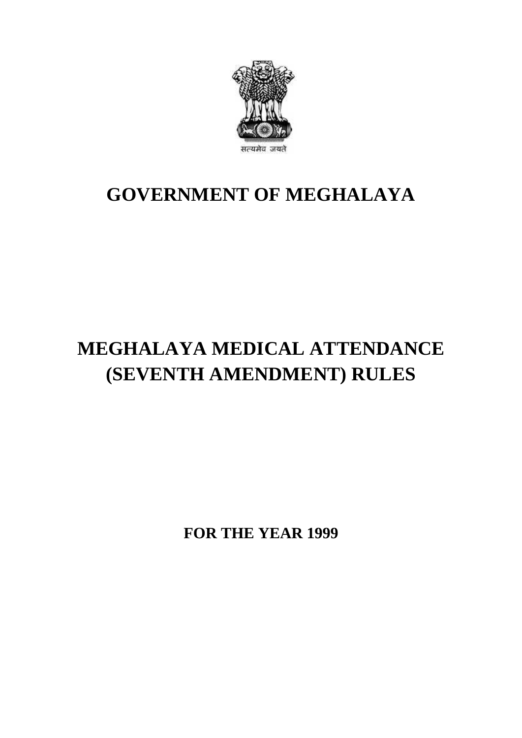

## **GOVERNMENT OF MEGHALAYA**

## **MEGHALAYA MEDICAL ATTENDANCE (SEVENTH AMENDMENT) RULES**

**FOR THE YEAR 1999**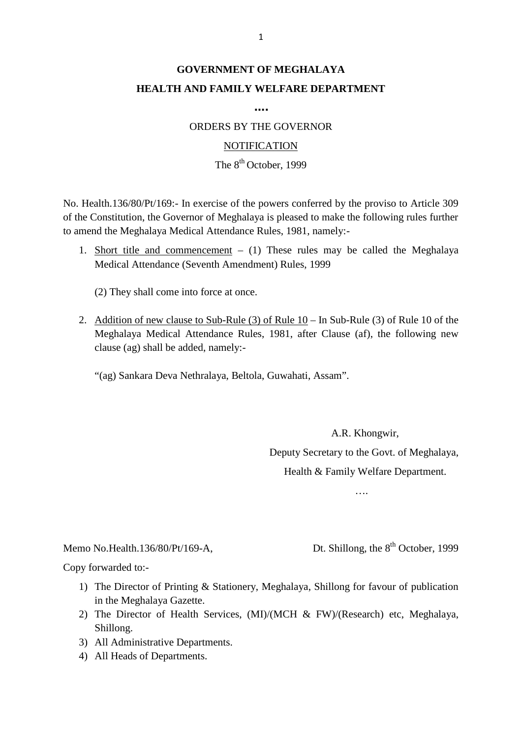### **GOVERNMENT OF MEGHALAYA HEALTH AND FAMILY WELFARE DEPARTMENT**

**….**

ORDERS BY THE GOVERNOR

#### **NOTIFICATION**

#### The  $8^{th}$  October, 1999

NOTIFICATION<br>The 8<sup>th</sup> October, 1999<br>No. Health.136/80/Pt/169:- In exercise of the powers conferred by the proviso to Article 309<br>of the Constitution, the Governor of Meghalaya is pleased to make the following rules furthe to amend the Meghalaya Medical Attendance Rules, 1981, namely:- No. Health.136/80/Pt/169:- In exercise of the powers conferred by the proviso to Article 309 of the Constitution, the Governor of Meghalaya is pleased to make the following rules further to amend the Meghalaya Medical Atte

Medical Attendance (Seventh Amendment) Rules, 1999

(2) They shall come into force at once.

Medical Attendance (Seventh Amendment) Rules, 1999<br>
(2) They shall come into force at once.<br>
2. Addition of new clause to Sub-Rule (3) of Rule 10 – In Sub-Rule (3) of Rule 10 of the<br>
Meghalaya Medical Attendance Rules, 198 clause (ag) shall be added, namely:-

"(ag) Sankara Deva Nethralaya, Beltola, Guwahati, Assam".

A.R. Khongwir, Deputy Secretary to the Govt. of Meghalaya, Health & Family Welfare Department.

….

# Memo No.Health.136/80/Pt/169-A,<br>Copy forwarded to:-

....<br>Memo No.Health.136/80/Pt/169-A, Dt. Shillong, the 8<sup>th</sup> October, 1999<br>Copy forwarded to:-

- 1) The Director of Printing & Stationery, Meghalaya, Shillong for favour of publication<br>
1) The Director of Printing & Stationery, Meghalaya, Shillong for favour of publication<br>
in the Meghalaya Gazette. in the Meghalaya Gazette.
- 2) The Director of Printing & Stationery, Meghalaya, Shillong for favour of publication<br>in the Meghalaya Gazette.<br>2) The Director of Health Services, (MI)/(MCH & FW)/(Research) etc, Meghalaya, Shillong. Shillong. 1) The Director of Printing & Stationer<br>3) in the Meghalaya Gazette.<br>2) The Director of Health Services, (<br>3) All Administrative Departments.<br>4) All Heads of Departments. in the Meghalaya Gazette.<br>
2) The Director of Health S<br>
5) All Administrative Depart<br>
4) All Heads of Departments.
- 
-